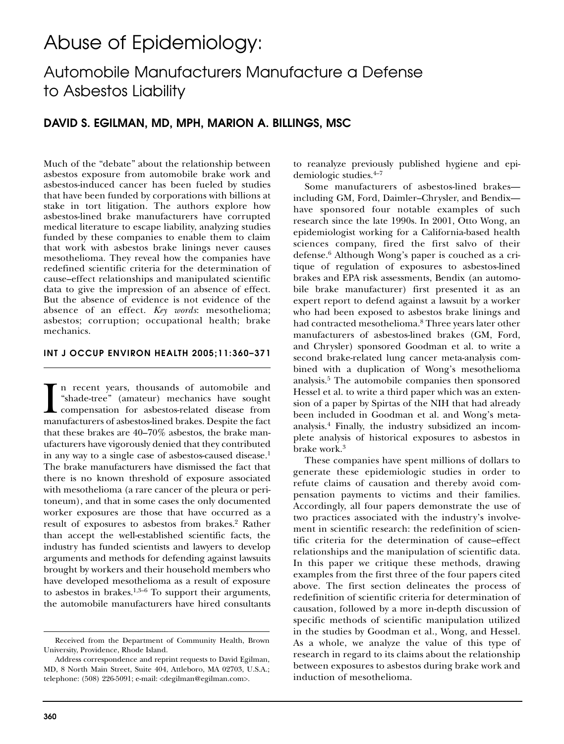# Abuse of Epidemiology:

## Automobile Manufacturers Manufacture a Defense to Asbestos Liability

## **DAVID S. EGILMAN, MD, MPH, MARION A. BILLINGS, MSC**

Much of the "debate" about the relationship between asbestos exposure from automobile brake work and asbestos-induced cancer has been fueled by studies that have been funded by corporations with billions at stake in tort litigation. The authors explore how asbestos-lined brake manufacturers have corrupted medical literature to escape liability, analyzing studies funded by these companies to enable them to claim that work with asbestos brake linings never causes mesothelioma. They reveal how the companies have redefined scientific criteria for the determination of cause–effect relationships and manipulated scientific data to give the impression of an absence of effect. But the absence of evidence is not evidence of the absence of an effect. *Key words*: mesothelioma; asbestos; corruption; occupational health; brake mechanics.

#### **INT J OCCUP ENVIRON HEALTH 2005;11:360–371**

In recent years, thousands of automobile and "shade-tree" (amateur) mechanics have sought compensation for asbestos-related disease from manufacturers of asbestos-lined brakes. Despite the fact n recent years, thousands of automobile and "shade-tree" (amateur) mechanics have sought compensation for asbestos-related disease from that these brakes are 40–70% asbestos, the brake manufacturers have vigorously denied that they contributed in any way to a single case of asbestos-caused disease.<sup>1</sup> The brake manufacturers have dismissed the fact that there is no known threshold of exposure associated with mesothelioma (a rare cancer of the pleura or peritoneum), and that in some cases the only documented worker exposures are those that have occurred as a result of exposures to asbestos from brakes.<sup>2</sup> Rather than accept the well-established scientific facts, the industry has funded scientists and lawyers to develop arguments and methods for defending against lawsuits brought by workers and their household members who have developed mesothelioma as a result of exposure to asbestos in brakes. $1,3-6$  To support their arguments, the automobile manufacturers have hired consultants

to reanalyze previously published hygiene and epidemiologic studies.4–7

Some manufacturers of asbestos-lined brakes including GM, Ford, Daimler–Chrysler, and Bendix have sponsored four notable examples of such research since the late 1990s. In 2001, Otto Wong, an epidemiologist working for a California-based health sciences company, fired the first salvo of their defense.6 Although Wong's paper is couched as a critique of regulation of exposures to asbestos-lined brakes and EPA risk assessments, Bendix (an automobile brake manufacturer) first presented it as an expert report to defend against a lawsuit by a worker who had been exposed to asbestos brake linings and had contracted mesothelioma.<sup>8</sup> Three years later other manufacturers of asbestos-lined brakes (GM, Ford, and Chrysler) sponsored Goodman et al. to write a second brake-related lung cancer meta-analysis combined with a duplication of Wong's mesothelioma analysis.5 The automobile companies then sponsored Hessel et al. to write a third paper which was an extension of a paper by Spirtas of the NIH that had already been included in Goodman et al. and Wong's metaanalysis.4 Finally, the industry subsidized an incomplete analysis of historical exposures to asbestos in brake work.<sup>3</sup>

These companies have spent millions of dollars to generate these epidemiologic studies in order to refute claims of causation and thereby avoid compensation payments to victims and their families. Accordingly, all four papers demonstrate the use of two practices associated with the industry's involvement in scientific research: the redefinition of scientific criteria for the determination of cause–effect relationships and the manipulation of scientific data. In this paper we critique these methods, drawing examples from the first three of the four papers cited above. The first section delineates the process of redefinition of scientific criteria for determination of causation, followed by a more in-depth discussion of specific methods of scientific manipulation utilized in the studies by Goodman et al., Wong, and Hessel. As a whole, we analyze the value of this type of research in regard to its claims about the relationship between exposures to asbestos during brake work and induction of mesothelioma.

Received from the Department of Community Health, Brown University, Providence, Rhode Island.

Address correspondence and reprint requests to David Egilman, MD, 8 North Main Street, Suite 404, Attleboro, MA 02703, U.S.A.; telephone: (508) 226-5091; e-mail: <degilman@egilman.com>.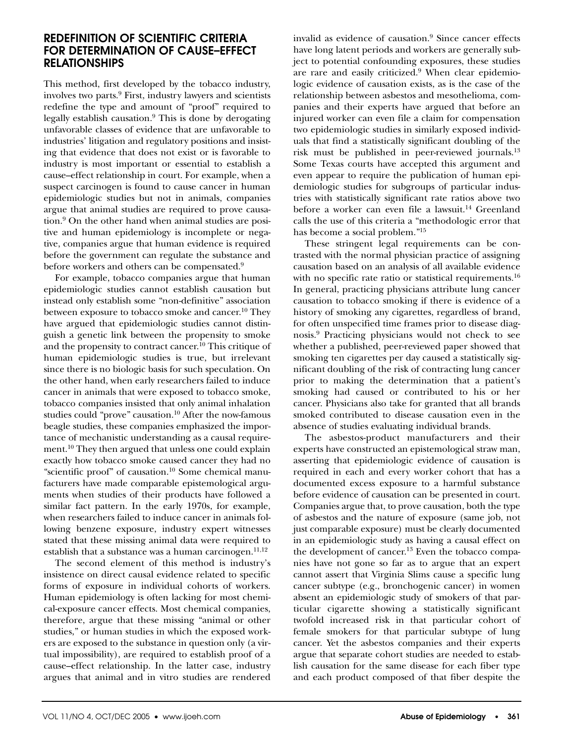## **REDEFINITION OF SCIENTIFIC CRITERIA FOR DETERMINATION OF CAUSE–EFFECT RELATIONSHIPS**

This method, first developed by the tobacco industry, involves two parts.9 First, industry lawyers and scientists redefine the type and amount of "proof" required to legally establish causation. $9$  This is done by derogating unfavorable classes of evidence that are unfavorable to industries' litigation and regulatory positions and insisting that evidence that does not exist or is favorable to industry is most important or essential to establish a cause–effect relationship in court. For example, when a suspect carcinogen is found to cause cancer in human epidemiologic studies but not in animals, companies argue that animal studies are required to prove causation.9 On the other hand when animal studies are positive and human epidemiology is incomplete or negative, companies argue that human evidence is required before the government can regulate the substance and before workers and others can be compensated.<sup>9</sup>

For example, tobacco companies argue that human epidemiologic studies cannot establish causation but instead only establish some "non-definitive" association between exposure to tobacco smoke and cancer.<sup>10</sup> They have argued that epidemiologic studies cannot distinguish a genetic link between the propensity to smoke and the propensity to contract cancer.<sup>10</sup> This critique of human epidemiologic studies is true, but irrelevant since there is no biologic basis for such speculation. On the other hand, when early researchers failed to induce cancer in animals that were exposed to tobacco smoke, tobacco companies insisted that only animal inhalation studies could "prove" causation.<sup>10</sup> After the now-famous beagle studies, these companies emphasized the importance of mechanistic understanding as a causal requirement.10 They then argued that unless one could explain exactly how tobacco smoke caused cancer they had no "scientific proof" of causation.<sup>10</sup> Some chemical manufacturers have made comparable epistemological arguments when studies of their products have followed a similar fact pattern. In the early 1970s, for example, when researchers failed to induce cancer in animals following benzene exposure, industry expert witnesses stated that these missing animal data were required to establish that a substance was a human carcinogen. $11,12$ 

The second element of this method is industry's insistence on direct causal evidence related to specific forms of exposure in individual cohorts of workers. Human epidemiology is often lacking for most chemical-exposure cancer effects. Most chemical companies, therefore, argue that these missing "animal or other studies," or human studies in which the exposed workers are exposed to the substance in question only (a virtual impossibility), are required to establish proof of a cause–effect relationship. In the latter case, industry argues that animal and in vitro studies are rendered

invalid as evidence of causation.<sup>9</sup> Since cancer effects have long latent periods and workers are generally subject to potential confounding exposures, these studies are rare and easily criticized.<sup>9</sup> When clear epidemiologic evidence of causation exists, as is the case of the relationship between asbestos and mesothelioma, companies and their experts have argued that before an injured worker can even file a claim for compensation two epidemiologic studies in similarly exposed individuals that find a statistically significant doubling of the risk must be published in peer-reviewed journals.13 Some Texas courts have accepted this argument and even appear to require the publication of human epidemiologic studies for subgroups of particular industries with statistically significant rate ratios above two before a worker can even file a lawsuit.<sup>14</sup> Greenland calls the use of this criteria a "methodologic error that has become a social problem."15

These stringent legal requirements can be contrasted with the normal physician practice of assigning causation based on an analysis of all available evidence with no specific rate ratio or statistical requirements.<sup>16</sup> In general, practicing physicians attribute lung cancer causation to tobacco smoking if there is evidence of a history of smoking any cigarettes, regardless of brand, for often unspecified time frames prior to disease diagnosis.9 Practicing physicians would not check to see whether a published, peer-reviewed paper showed that smoking ten cigarettes per day caused a statistically significant doubling of the risk of contracting lung cancer prior to making the determination that a patient's smoking had caused or contributed to his or her cancer. Physicians also take for granted that all brands smoked contributed to disease causation even in the absence of studies evaluating individual brands.

The asbestos-product manufacturers and their experts have constructed an epistemological straw man, asserting that epidemiologic evidence of causation is required in each and every worker cohort that has a documented excess exposure to a harmful substance before evidence of causation can be presented in court. Companies argue that, to prove causation, both the type of asbestos and the nature of exposure (same job, not just comparable exposure) must be clearly documented in an epidemiologic study as having a causal effect on the development of cancer.<sup>13</sup> Even the tobacco companies have not gone so far as to argue that an expert cannot assert that Virginia Slims cause a specific lung cancer subtype (e.g., bronchogenic cancer) in women absent an epidemiologic study of smokers of that particular cigarette showing a statistically significant twofold increased risk in that particular cohort of female smokers for that particular subtype of lung cancer. Yet the asbestos companies and their experts argue that separate cohort studies are needed to establish causation for the same disease for each fiber type and each product composed of that fiber despite the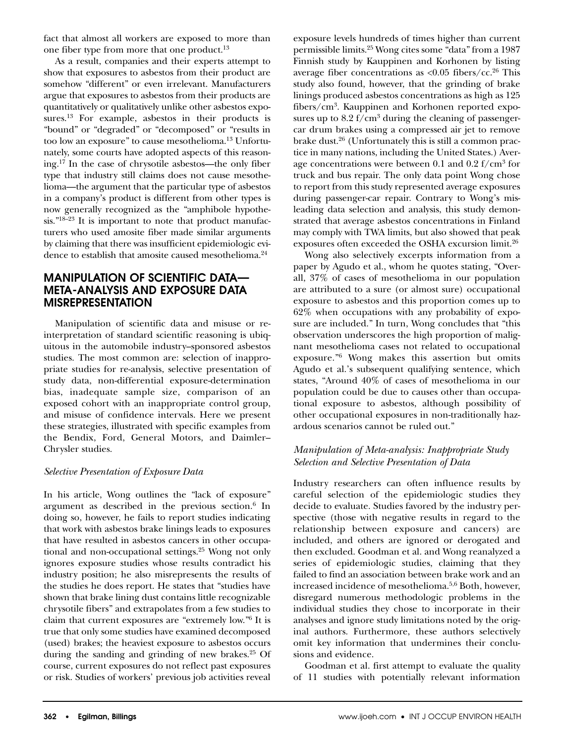fact that almost all workers are exposed to more than one fiber type from more that one product.<sup>13</sup>

As a result, companies and their experts attempt to show that exposures to asbestos from their product are somehow "different" or even irrelevant. Manufacturers argue that exposures to asbestos from their products are quantitatively or qualitatively unlike other asbestos exposures.<sup>13</sup> For example, asbestos in their products is "bound" or "degraded" or "decomposed" or "results in too low an exposure" to cause mesothelioma.13 Unfortunately, some courts have adopted aspects of this reasoning.17 In the case of chrysotile asbestos—the only fiber type that industry still claims does not cause mesothelioma—the argument that the particular type of asbestos in a company's product is different from other types is now generally recognized as the "amphibole hypothesis."<sup>18–23</sup> It is important to note that product manufacturers who used amosite fiber made similar arguments by claiming that there was insufficient epidemiologic evidence to establish that amosite caused mesothelioma.<sup>24</sup>

## **MANIPULATION OF SCIENTIFIC DATA— META-ANALYSIS AND EXPOSURE DATA MISREPRESENTATION**

Manipulation of scientific data and misuse or reinterpretation of standard scientific reasoning is ubiquitous in the automobile industry–sponsored asbestos studies. The most common are: selection of inappropriate studies for re-analysis, selective presentation of study data, non-differential exposure-determination bias, inadequate sample size, comparison of an exposed cohort with an inappropriate control group, and misuse of confidence intervals. Here we present these strategies, illustrated with specific examples from the Bendix, Ford, General Motors, and Daimler– Chrysler studies.

#### *Selective Presentation of Exposure Data*

In his article, Wong outlines the "lack of exposure" argument as described in the previous section. $6$  In doing so, however, he fails to report studies indicating that work with asbestos brake linings leads to exposures that have resulted in asbestos cancers in other occupational and non-occupational settings.25 Wong not only ignores exposure studies whose results contradict his industry position; he also misrepresents the results of the studies he does report. He states that "studies have shown that brake lining dust contains little recognizable chrysotile fibers" and extrapolates from a few studies to claim that current exposures are "extremely low."6 It is true that only some studies have examined decomposed (used) brakes; the heaviest exposure to asbestos occurs during the sanding and grinding of new brakes. $25$  Of course, current exposures do not reflect past exposures or risk. Studies of workers' previous job activities reveal

exposure levels hundreds of times higher than current permissible limits.25 Wong cites some "data" from a 1987 Finnish study by Kauppinen and Korhonen by listing average fiber concentrations as  $\langle 0.05 \text{ fibers}/\text{cc.}^{26} \text{ This} \rangle$ study also found, however, that the grinding of brake linings produced asbestos concentrations as high as 125 fibers/cm3. Kauppinen and Korhonen reported exposures up to 8.2  $f/cm^3$  during the cleaning of passengercar drum brakes using a compressed air jet to remove brake dust. $26$  (Unfortunately this is still a common practice in many nations, including the United States.) Average concentrations were between 0.1 and 0.2  $f/cm^3$  for truck and bus repair. The only data point Wong chose to report from this study represented average exposures during passenger-car repair. Contrary to Wong's misleading data selection and analysis, this study demonstrated that average asbestos concentrations in Finland may comply with TWA limits, but also showed that peak exposures often exceeded the OSHA excursion limit.26

Wong also selectively excerpts information from a paper by Agudo et al., whom he quotes stating, "Overall, 37% of cases of mesothelioma in our population are attributed to a sure (or almost sure) occupational exposure to asbestos and this proportion comes up to 62% when occupations with any probability of exposure are included." In turn, Wong concludes that "this observation underscores the high proportion of malignant mesothelioma cases not related to occupational exposure."6 Wong makes this assertion but omits Agudo et al.'s subsequent qualifying sentence, which states, "Around 40% of cases of mesothelioma in our population could be due to causes other than occupational exposure to asbestos, although possibility of other occupational exposures in non-traditionally hazardous scenarios cannot be ruled out."

#### *Manipulation of Meta-analysis: Inappropriate Study Selection and Selective Presentation of Data*

Industry researchers can often influence results by careful selection of the epidemiologic studies they decide to evaluate. Studies favored by the industry perspective (those with negative results in regard to the relationship between exposure and cancers) are included, and others are ignored or derogated and then excluded. Goodman et al. and Wong reanalyzed a series of epidemiologic studies, claiming that they failed to find an association between brake work and an increased incidence of mesothelioma.5,6 Both, however, disregard numerous methodologic problems in the individual studies they chose to incorporate in their analyses and ignore study limitations noted by the original authors. Furthermore, these authors selectively omit key information that undermines their conclusions and evidence.

Goodman et al. first attempt to evaluate the quality of 11 studies with potentially relevant information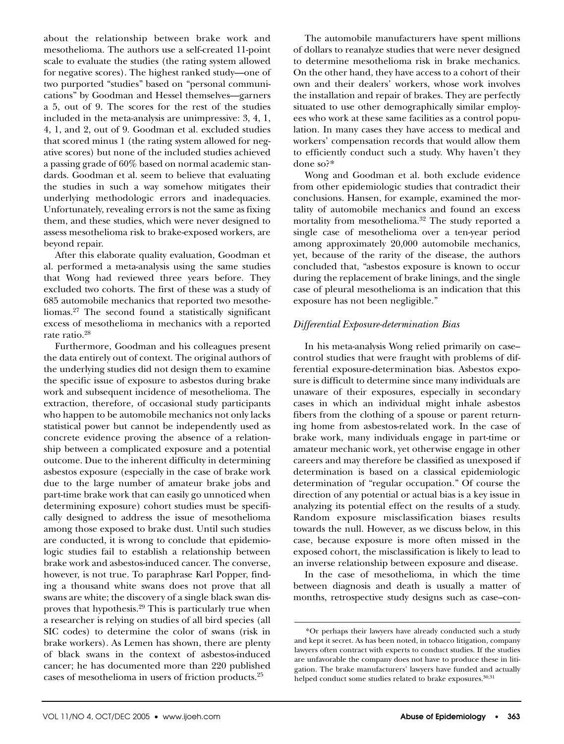about the relationship between brake work and mesothelioma. The authors use a self-created 11-point scale to evaluate the studies (the rating system allowed for negative scores). The highest ranked study—one of two purported "studies" based on "personal communications" by Goodman and Hessel themselves—garners a 5, out of 9. The scores for the rest of the studies included in the meta-analysis are unimpressive: 3, 4, 1, 4, 1, and 2, out of 9. Goodman et al. excluded studies that scored minus 1 (the rating system allowed for negative scores) but none of the included studies achieved a passing grade of 60% based on normal academic standards. Goodman et al. seem to believe that evaluating the studies in such a way somehow mitigates their underlying methodologic errors and inadequacies. Unfortunately, revealing errors is not the same as fixing them, and these studies, which were never designed to assess mesothelioma risk to brake-exposed workers, are beyond repair.

After this elaborate quality evaluation, Goodman et al. performed a meta-analysis using the same studies that Wong had reviewed three years before. They excluded two cohorts. The first of these was a study of 685 automobile mechanics that reported two mesotheliomas.27 The second found a statistically significant excess of mesothelioma in mechanics with a reported rate ratio.28

Furthermore, Goodman and his colleagues present the data entirely out of context. The original authors of the underlying studies did not design them to examine the specific issue of exposure to asbestos during brake work and subsequent incidence of mesothelioma. The extraction, therefore, of occasional study participants who happen to be automobile mechanics not only lacks statistical power but cannot be independently used as concrete evidence proving the absence of a relationship between a complicated exposure and a potential outcome. Due to the inherent difficulty in determining asbestos exposure (especially in the case of brake work due to the large number of amateur brake jobs and part-time brake work that can easily go unnoticed when determining exposure) cohort studies must be specifically designed to address the issue of mesothelioma among those exposed to brake dust. Until such studies are conducted, it is wrong to conclude that epidemiologic studies fail to establish a relationship between brake work and asbestos-induced cancer. The converse, however, is not true. To paraphrase Karl Popper, finding a thousand white swans does not prove that all swans are white; the discovery of a single black swan disproves that hypothesis.29 This is particularly true when a researcher is relying on studies of all bird species (all SIC codes) to determine the color of swans (risk in brake workers). As Lemen has shown, there are plenty of black swans in the context of asbestos-induced cancer; he has documented more than 220 published cases of mesothelioma in users of friction products.25

The automobile manufacturers have spent millions of dollars to reanalyze studies that were never designed to determine mesothelioma risk in brake mechanics. On the other hand, they have access to a cohort of their own and their dealers' workers, whose work involves the installation and repair of brakes. They are perfectly situated to use other demographically similar employees who work at these same facilities as a control population. In many cases they have access to medical and workers' compensation records that would allow them to efficiently conduct such a study. Why haven't they done so?\*

Wong and Goodman et al. both exclude evidence from other epidemiologic studies that contradict their conclusions. Hansen, for example, examined the mortality of automobile mechanics and found an excess mortality from mesothelioma.<sup>32</sup> The study reported a single case of mesothelioma over a ten-year period among approximately 20,000 automobile mechanics, yet, because of the rarity of the disease, the authors concluded that, "asbestos exposure is known to occur during the replacement of brake linings, and the single case of pleural mesothelioma is an indication that this exposure has not been negligible."

#### *Differential Exposure-determination Bias*

In his meta-analysis Wong relied primarily on case– control studies that were fraught with problems of differential exposure-determination bias. Asbestos exposure is difficult to determine since many individuals are unaware of their exposures, especially in secondary cases in which an individual might inhale asbestos fibers from the clothing of a spouse or parent returning home from asbestos-related work. In the case of brake work, many individuals engage in part-time or amateur mechanic work, yet otherwise engage in other careers and may therefore be classified as unexposed if determination is based on a classical epidemiologic determination of "regular occupation." Of course the direction of any potential or actual bias is a key issue in analyzing its potential effect on the results of a study. Random exposure misclassification biases results towards the null. However, as we discuss below, in this case, because exposure is more often missed in the exposed cohort, the misclassification is likely to lead to an inverse relationship between exposure and disease.

In the case of mesothelioma, in which the time between diagnosis and death is usually a matter of months, retrospective study designs such as case–con-

<sup>\*</sup>Or perhaps their lawyers have already conducted such a study and kept it secret. As has been noted, in tobacco litigation, company lawyers often contract with experts to conduct studies. If the studies are unfavorable the company does not have to produce these in litigation. The brake manufacturers' lawyers have funded and actually helped conduct some studies related to brake exposures.<sup>30,31</sup>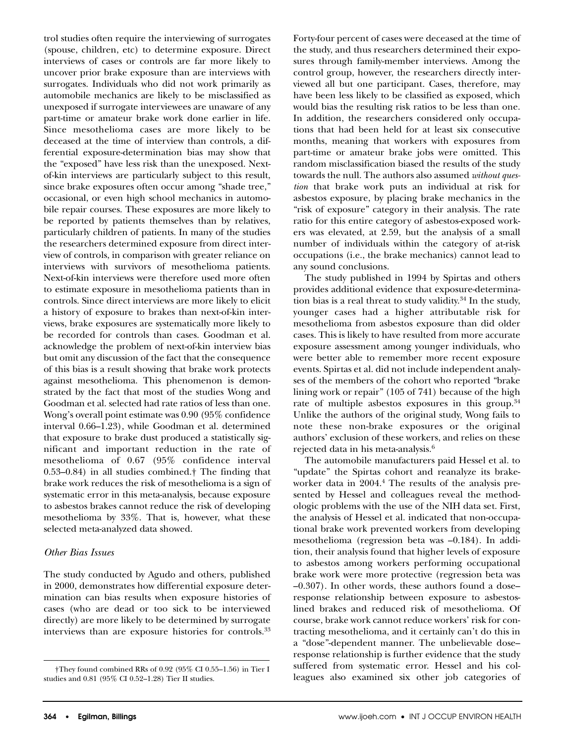trol studies often require the interviewing of surrogates (spouse, children, etc) to determine exposure. Direct interviews of cases or controls are far more likely to uncover prior brake exposure than are interviews with surrogates. Individuals who did not work primarily as automobile mechanics are likely to be misclassified as unexposed if surrogate interviewees are unaware of any part-time or amateur brake work done earlier in life. Since mesothelioma cases are more likely to be deceased at the time of interview than controls, a differential exposure-determination bias may show that the "exposed" have less risk than the unexposed. Nextof-kin interviews are particularly subject to this result, since brake exposures often occur among "shade tree," occasional, or even high school mechanics in automobile repair courses. These exposures are more likely to be reported by patients themselves than by relatives, particularly children of patients. In many of the studies the researchers determined exposure from direct interview of controls, in comparison with greater reliance on interviews with survivors of mesothelioma patients. Next-of-kin interviews were therefore used more often to estimate exposure in mesothelioma patients than in controls. Since direct interviews are more likely to elicit a history of exposure to brakes than next-of-kin interviews, brake exposures are systematically more likely to be recorded for controls than cases. Goodman et al. acknowledge the problem of next-of-kin interview bias but omit any discussion of the fact that the consequence of this bias is a result showing that brake work protects against mesothelioma. This phenomenon is demonstrated by the fact that most of the studies Wong and Goodman et al. selected had rate ratios of less than one. Wong's overall point estimate was 0.90 (95% confidence interval 0.66–1.23), while Goodman et al. determined that exposure to brake dust produced a statistically significant and important reduction in the rate of mesothelioma of 0.67 (95% confidence interval 0.53–0.84) in all studies combined.† The finding that brake work reduces the risk of mesothelioma is a sign of systematic error in this meta-analysis, because exposure to asbestos brakes cannot reduce the risk of developing mesothelioma by 33%. That is, however, what these selected meta-analyzed data showed.

#### *Other Bias Issues*

The study conducted by Agudo and others, published in 2000, demonstrates how differential exposure determination can bias results when exposure histories of cases (who are dead or too sick to be interviewed directly) are more likely to be determined by surrogate interviews than are exposure histories for controls.33 Forty-four percent of cases were deceased at the time of the study, and thus researchers determined their exposures through family-member interviews. Among the control group, however, the researchers directly interviewed all but one participant. Cases, therefore, may have been less likely to be classified as exposed, which would bias the resulting risk ratios to be less than one. In addition, the researchers considered only occupations that had been held for at least six consecutive months, meaning that workers with exposures from part-time or amateur brake jobs were omitted. This random misclassification biased the results of the study towards the null. The authors also assumed *without question* that brake work puts an individual at risk for asbestos exposure, by placing brake mechanics in the "risk of exposure" category in their analysis. The rate ratio for this entire category of asbestos-exposed workers was elevated, at 2.59, but the analysis of a small number of individuals within the category of at-risk occupations (i.e., the brake mechanics) cannot lead to any sound conclusions.

The study published in 1994 by Spirtas and others provides additional evidence that exposure-determination bias is a real threat to study validity. $34$  In the study, younger cases had a higher attributable risk for mesothelioma from asbestos exposure than did older cases. This is likely to have resulted from more accurate exposure assessment among younger individuals, who were better able to remember more recent exposure events. Spirtas et al. did not include independent analyses of the members of the cohort who reported "brake lining work or repair" (105 of 741) because of the high rate of multiple asbestos exposures in this group.<sup>34</sup> Unlike the authors of the original study, Wong fails to note these non-brake exposures or the original authors' exclusion of these workers, and relies on these rejected data in his meta-analysis.6

The automobile manufacturers paid Hessel et al. to "update" the Spirtas cohort and reanalyze its brakeworker data in  $2004<sup>4</sup>$ . The results of the analysis presented by Hessel and colleagues reveal the methodologic problems with the use of the NIH data set. First, the analysis of Hessel et al. indicated that non-occupational brake work prevented workers from developing mesothelioma (regression beta was –0.184). In addition, their analysis found that higher levels of exposure to asbestos among workers performing occupational brake work were more protective (regression beta was –0.307). In other words, these authors found a dose– response relationship between exposure to asbestoslined brakes and reduced risk of mesothelioma. Of course, brake work cannot reduce workers' risk for contracting mesothelioma, and it certainly can't do this in a "dose"-dependent manner. The unbelievable dose– response relationship is further evidence that the study suffered from systematic error. Hessel and his colleagues also examined six other job categories of

<sup>†</sup>They found combined RRs of 0.92 (95% CI 0.55–1.56) in Tier I studies and 0.81 (95% CI 0.52–1.28) Tier II studies.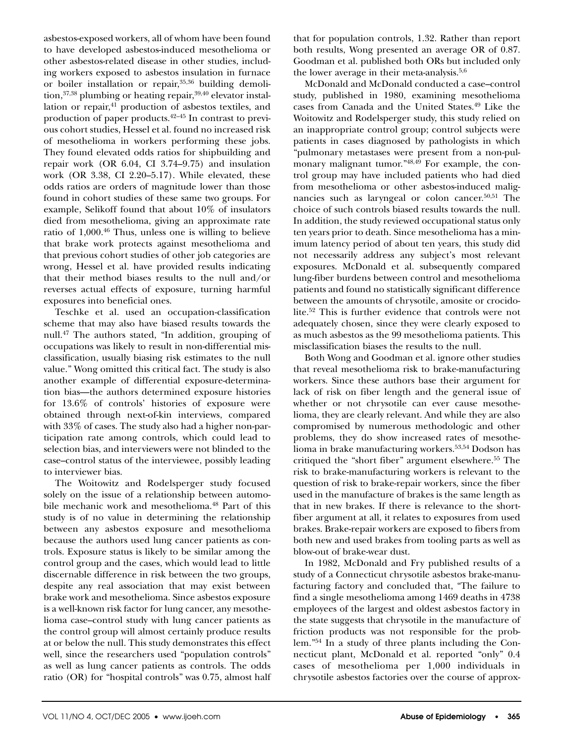asbestos-exposed workers, all of whom have been found to have developed asbestos-induced mesothelioma or other asbestos-related disease in other studies, including workers exposed to asbestos insulation in furnace or boiler installation or repair,<sup>35,36</sup> building demolition, 37,38 plumbing or heating repair, 39,40 elevator installation or repair,<sup>41</sup> production of asbestos textiles, and production of paper products.42–45 In contrast to previous cohort studies, Hessel et al. found no increased risk of mesothelioma in workers performing these jobs. They found elevated odds ratios for shipbuilding and repair work (OR 6.04, CI 3.74–9.75) and insulation work (OR 3.38, CI 2.20–5.17). While elevated, these odds ratios are orders of magnitude lower than those found in cohort studies of these same two groups. For example, Selikoff found that about 10% of insulators died from mesothelioma, giving an approximate rate ratio of  $1,000$ .<sup>46</sup> Thus, unless one is willing to believe that brake work protects against mesothelioma and that previous cohort studies of other job categories are wrong, Hessel et al. have provided results indicating that their method biases results to the null and/or reverses actual effects of exposure, turning harmful exposures into beneficial ones.

Teschke et al. used an occupation-classification scheme that may also have biased results towards the null.47 The authors stated, "In addition, grouping of occupations was likely to result in non-differential misclassification, usually biasing risk estimates to the null value." Wong omitted this critical fact. The study is also another example of differential exposure-determination bias—the authors determined exposure histories for 13.6% of controls' histories of exposure were obtained through next-of-kin interviews, compared with 33% of cases. The study also had a higher non-participation rate among controls, which could lead to selection bias, and interviewers were not blinded to the case–control status of the interviewee, possibly leading to interviewer bias.

The Woitowitz and Rodelsperger study focused solely on the issue of a relationship between automobile mechanic work and mesothelioma.<sup>48</sup> Part of this study is of no value in determining the relationship between any asbestos exposure and mesothelioma because the authors used lung cancer patients as controls. Exposure status is likely to be similar among the control group and the cases, which would lead to little discernable difference in risk between the two groups, despite any real association that may exist between brake work and mesothelioma. Since asbestos exposure is a well-known risk factor for lung cancer, any mesothelioma case–control study with lung cancer patients as the control group will almost certainly produce results at or below the null. This study demonstrates this effect well, since the researchers used "population controls" as well as lung cancer patients as controls. The odds ratio (OR) for "hospital controls" was 0.75, almost half that for population controls, 1.32. Rather than report both results, Wong presented an average OR of 0.87. Goodman et al. published both ORs but included only the lower average in their meta-analysis. $5,6$ 

McDonald and McDonald conducted a case–control study, published in 1980, examining mesothelioma cases from Canada and the United States.49 Like the Woitowitz and Rodelsperger study, this study relied on an inappropriate control group; control subjects were patients in cases diagnosed by pathologists in which "pulmonary metastases were present from a non-pulmonary malignant tumor."<sup>48,49</sup> For example, the control group may have included patients who had died from mesothelioma or other asbestos-induced malignancies such as laryngeal or colon cancer.<sup>50,51</sup> The choice of such controls biased results towards the null. In addition, the study reviewed occupational status only ten years prior to death. Since mesothelioma has a minimum latency period of about ten years, this study did not necessarily address any subject's most relevant exposures. McDonald et al. subsequently compared lung-fiber burdens between control and mesothelioma patients and found no statistically significant difference between the amounts of chrysotile, amosite or crocidolite.52 This is further evidence that controls were not adequately chosen, since they were clearly exposed to as much asbestos as the 99 mesothelioma patients. This misclassification biases the results to the null.

Both Wong and Goodman et al. ignore other studies that reveal mesothelioma risk to brake-manufacturing workers. Since these authors base their argument for lack of risk on fiber length and the general issue of whether or not chrysotile can ever cause mesothelioma, they are clearly relevant. And while they are also compromised by numerous methodologic and other problems, they do show increased rates of mesothelioma in brake manufacturing workers.<sup>53,54</sup> Dodson has critiqued the "short fiber" argument elsewhere.<sup>55</sup> The risk to brake-manufacturing workers is relevant to the question of risk to brake-repair workers, since the fiber used in the manufacture of brakes is the same length as that in new brakes. If there is relevance to the shortfiber argument at all, it relates to exposures from used brakes. Brake-repair workers are exposed to fibers from both new and used brakes from tooling parts as well as blow-out of brake-wear dust.

In 1982, McDonald and Fry published results of a study of a Connecticut chrysotile asbestos brake-manufacturing factory and concluded that, "The failure to find a single mesothelioma among 1469 deaths in 4738 employees of the largest and oldest asbestos factory in the state suggests that chrysotile in the manufacture of friction products was not responsible for the problem."54 In a study of three plants including the Connecticut plant, McDonald et al. reported "only" 0.4 cases of mesothelioma per 1,000 individuals in chrysotile asbestos factories over the course of approx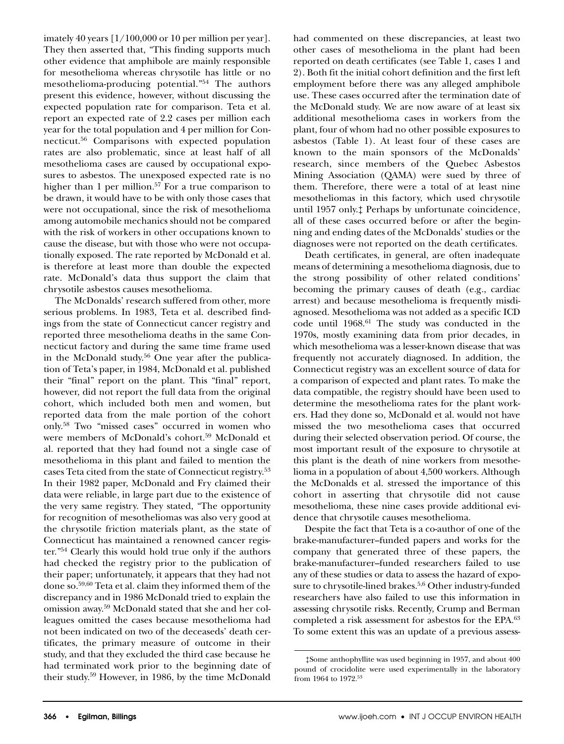imately 40 years [1/100,000 or 10 per million per year]. They then asserted that, "This finding supports much other evidence that amphibole are mainly responsible for mesothelioma whereas chrysotile has little or no mesothelioma-producing potential."54 The authors present this evidence, however, without discussing the expected population rate for comparison. Teta et al. report an expected rate of 2.2 cases per million each year for the total population and 4 per million for Connecticut.56 Comparisons with expected population rates are also problematic, since at least half of all mesothelioma cases are caused by occupational exposures to asbestos. The unexposed expected rate is no higher than 1 per million.<sup>57</sup> For a true comparison to be drawn, it would have to be with only those cases that were not occupational, since the risk of mesothelioma among automobile mechanics should not be compared with the risk of workers in other occupations known to cause the disease, but with those who were not occupationally exposed. The rate reported by McDonald et al. is therefore at least more than double the expected rate. McDonald's data thus support the claim that chrysotile asbestos causes mesothelioma.

The McDonalds' research suffered from other, more serious problems. In 1983, Teta et al. described findings from the state of Connecticut cancer registry and reported three mesothelioma deaths in the same Connecticut factory and during the same time frame used in the McDonald study. $56$  One year after the publication of Teta's paper, in 1984, McDonald et al. published their "final" report on the plant. This "final" report, however, did not report the full data from the original cohort, which included both men and women, but reported data from the male portion of the cohort only.58 Two "missed cases" occurred in women who were members of McDonald's cohort.<sup>59</sup> McDonald et al. reported that they had found not a single case of mesothelioma in this plant and failed to mention the cases Teta cited from the state of Connecticut registry.53 In their 1982 paper, McDonald and Fry claimed their data were reliable, in large part due to the existence of the very same registry. They stated, "The opportunity for recognition of mesotheliomas was also very good at the chrysotile friction materials plant, as the state of Connecticut has maintained a renowned cancer register."54 Clearly this would hold true only if the authors had checked the registry prior to the publication of their paper; unfortunately, it appears that they had not done so.59,60 Teta et al. claim they informed them of the discrepancy and in 1986 McDonald tried to explain the omission away.59 McDonald stated that she and her colleagues omitted the cases because mesothelioma had not been indicated on two of the deceaseds' death certificates, the primary measure of outcome in their study, and that they excluded the third case because he had terminated work prior to the beginning date of their study.59 However, in 1986, by the time McDonald

had commented on these discrepancies, at least two other cases of mesothelioma in the plant had been reported on death certificates (see Table 1, cases 1 and 2). Both fit the initial cohort definition and the first left employment before there was any alleged amphibole use. These cases occurred after the termination date of the McDonald study. We are now aware of at least six additional mesothelioma cases in workers from the plant, four of whom had no other possible exposures to asbestos (Table 1). At least four of these cases are known to the main sponsors of the McDonalds' research, since members of the Quebec Asbestos Mining Association (QAMA) were sued by three of them. Therefore, there were a total of at least nine mesotheliomas in this factory, which used chrysotile until 1957 only.‡ Perhaps by unfortunate coincidence, all of these cases occurred before or after the beginning and ending dates of the McDonalds' studies or the diagnoses were not reported on the death certificates.

Death certificates, in general, are often inadequate means of determining a mesothelioma diagnosis, due to the strong possibility of other related conditions' becoming the primary causes of death (e.g., cardiac arrest) and because mesothelioma is frequently misdiagnosed. Mesothelioma was not added as a specific ICD code until 1968.<sup>61</sup> The study was conducted in the 1970s, mostly examining data from prior decades, in which mesothelioma was a lesser-known disease that was frequently not accurately diagnosed. In addition, the Connecticut registry was an excellent source of data for a comparison of expected and plant rates. To make the data compatible, the registry should have been used to determine the mesothelioma rates for the plant workers. Had they done so, McDonald et al. would not have missed the two mesothelioma cases that occurred during their selected observation period. Of course, the most important result of the exposure to chrysotile at this plant is the death of nine workers from mesothelioma in a population of about 4,500 workers. Although the McDonalds et al. stressed the importance of this cohort in asserting that chrysotile did not cause mesothelioma, these nine cases provide additional evidence that chrysotile causes mesothelioma.

Despite the fact that Teta is a co-author of one of the brake-manufacturer–funded papers and works for the company that generated three of these papers, the brake-manufacturer–funded researchers failed to use any of these studies or data to assess the hazard of exposure to chrysotile-lined brakes.<sup>5,6</sup> Other industry-funded researchers have also failed to use this information in assessing chrysotile risks. Recently, Crump and Berman completed a risk assessment for asbestos for the EPA.<sup>63</sup> To some extent this was an update of a previous assess-

<sup>‡</sup>Some anthophyllite was used beginning in 1957, and about 400 pound of crocidolite were used experimentally in the laboratory from 1964 to 1972.53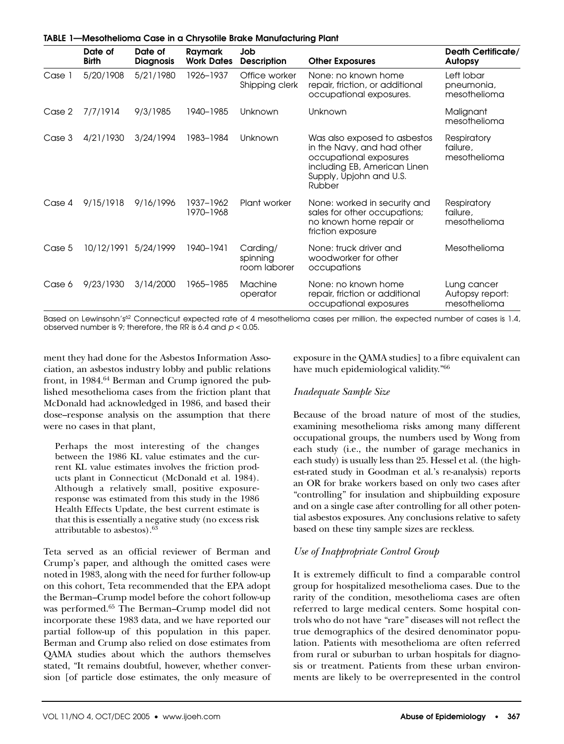|        | Date of              | Date of          | Raymark                | <b>MCOOMICIONIG COOC IN G CHIFFOONIC DIGKC MONGHAMORINING FIGHT</b><br><b>Job</b> |                                                                                                                                                           | <b>Death Certificate/</b>                      |
|--------|----------------------|------------------|------------------------|-----------------------------------------------------------------------------------|-----------------------------------------------------------------------------------------------------------------------------------------------------------|------------------------------------------------|
|        | <b>Birth</b>         | <b>Diagnosis</b> | <b>Work Dates</b>      | <b>Description</b>                                                                | <b>Other Exposures</b>                                                                                                                                    | <b>Autopsy</b>                                 |
| Case 1 | 5/20/1908            | 5/21/1980        | 1926-1937              | Office worker<br>Shipping clerk                                                   | None: no known home<br>repair, friction, or additional<br>occupational exposures.                                                                         | Left lobar<br>pneumonia,<br>mesothelioma       |
| Case 2 | 7/7/1914             | 9/3/1985         | 1940-1985              | Unknown                                                                           | Unknown                                                                                                                                                   | Malignant<br>mesothelioma                      |
| Case 3 | 4/21/1930            | 3/24/1994        | 1983-1984              | Unknown                                                                           | Was also exposed to asbestos<br>in the Navy, and had other<br>occupational exposures<br>including EB, American Linen<br>Supply, Upjohn and U.S.<br>Rubber | Respiratory<br>failure,<br>mesothelioma        |
| Case 4 | 9/15/1918            | 9/16/1996        | 1937-1962<br>1970-1968 | Plant worker                                                                      | None: worked in security and<br>sales for other occupations;<br>no known home repair or<br>friction exposure                                              | Respiratory<br>failure,<br>mesothelioma        |
| Case 5 | 10/12/1991 5/24/1999 |                  | 1940-1941              | Carding/<br>spinning<br>room laborer                                              | None: truck driver and<br>woodworker for other<br>occupations                                                                                             | Mesothelioma                                   |
| Case 6 | 9/23/1930            | 3/14/2000        | 1965–1985              | <b>Machine</b><br>operator                                                        | None: no known home<br>repair, friction or additional<br>occupational exposures                                                                           | Lung cancer<br>Autopsy report:<br>mesothelioma |

Based on Lewinsohn's<sup>62</sup> Connecticut expected rate of 4 mesothelioma cases per million, the expected number of cases is 1.4, observed number is 9; therefore, the RR is 6.4 and *p* < 0.05.

ment they had done for the Asbestos Information Association, an asbestos industry lobby and public relations front, in 1984.<sup>64</sup> Berman and Crump ignored the published mesothelioma cases from the friction plant that McDonald had acknowledged in 1986, and based their dose–response analysis on the assumption that there were no cases in that plant,

**TABLE 1—Mesothelioma Case in a Chrysotile Brake Manufacturing Plant**

Perhaps the most interesting of the changes between the 1986 KL value estimates and the current KL value estimates involves the friction products plant in Connecticut (McDonald et al. 1984). Although a relatively small, positive exposureresponse was estimated from this study in the 1986 Health Effects Update, the best current estimate is that this is essentially a negative study (no excess risk attributable to asbestos). $63$ 

Teta served as an official reviewer of Berman and Crump's paper, and although the omitted cases were noted in 1983, along with the need for further follow-up on this cohort, Teta recommended that the EPA adopt the Berman–Crump model before the cohort follow-up was performed.<sup>65</sup> The Berman–Crump model did not incorporate these 1983 data, and we have reported our partial follow-up of this population in this paper. Berman and Crump also relied on dose estimates from QAMA studies about which the authors themselves stated, "It remains doubtful, however, whether conversion [of particle dose estimates, the only measure of exposure in the QAMA studies] to a fibre equivalent can have much epidemiological validity."<sup>66</sup>

#### *Inadequate Sample Size*

Because of the broad nature of most of the studies, examining mesothelioma risks among many different occupational groups, the numbers used by Wong from each study (i.e., the number of garage mechanics in each study) is usually less than 25. Hessel et al. (the highest-rated study in Goodman et al.'s re-analysis) reports an OR for brake workers based on only two cases after "controlling" for insulation and shipbuilding exposure and on a single case after controlling for all other potential asbestos exposures. Any conclusions relative to safety based on these tiny sample sizes are reckless.

#### *Use of Inappropriate Control Group*

It is extremely difficult to find a comparable control group for hospitalized mesothelioma cases. Due to the rarity of the condition, mesothelioma cases are often referred to large medical centers. Some hospital controls who do not have "rare" diseases will not reflect the true demographics of the desired denominator population. Patients with mesothelioma are often referred from rural or suburban to urban hospitals for diagnosis or treatment. Patients from these urban environments are likely to be overrepresented in the control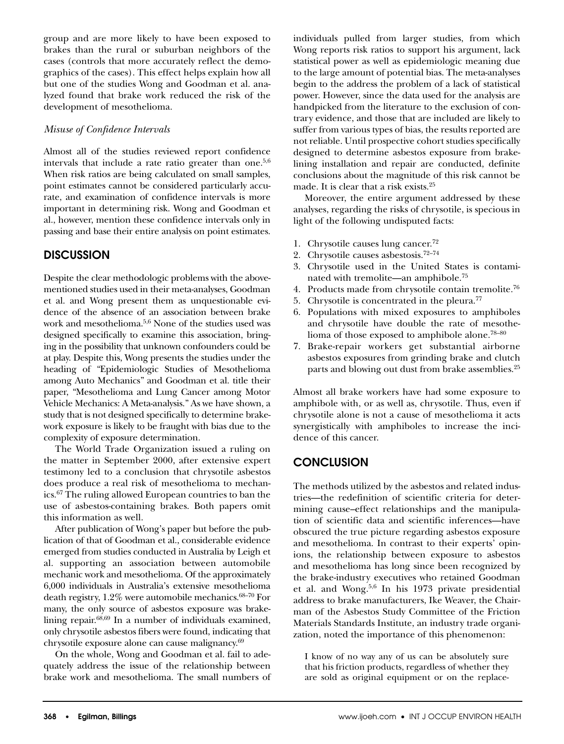group and are more likely to have been exposed to brakes than the rural or suburban neighbors of the cases (controls that more accurately reflect the demographics of the cases). This effect helps explain how all but one of the studies Wong and Goodman et al. analyzed found that brake work reduced the risk of the development of mesothelioma.

#### *Misuse of Confidence Intervals*

Almost all of the studies reviewed report confidence intervals that include a rate ratio greater than one.<sup>5,6</sup> When risk ratios are being calculated on small samples, point estimates cannot be considered particularly accurate, and examination of confidence intervals is more important in determining risk. Wong and Goodman et al., however, mention these confidence intervals only in passing and base their entire analysis on point estimates.

## **DISCUSSION**

Despite the clear methodologic problems with the abovementioned studies used in their meta-analyses, Goodman et al. and Wong present them as unquestionable evidence of the absence of an association between brake work and mesothelioma.5,6 None of the studies used was designed specifically to examine this association, bringing in the possibility that unknown confounders could be at play. Despite this, Wong presents the studies under the heading of "Epidemiologic Studies of Mesothelioma among Auto Mechanics" and Goodman et al. title their paper, "Mesothelioma and Lung Cancer among Motor Vehicle Mechanics: A Meta-analysis." As we have shown, a study that is not designed specifically to determine brakework exposure is likely to be fraught with bias due to the complexity of exposure determination.

The World Trade Organization issued a ruling on the matter in September 2000, after extensive expert testimony led to a conclusion that chrysotile asbestos does produce a real risk of mesothelioma to mechanics.67 The ruling allowed European countries to ban the use of asbestos-containing brakes. Both papers omit this information as well.

After publication of Wong's paper but before the publication of that of Goodman et al., considerable evidence emerged from studies conducted in Australia by Leigh et al. supporting an association between automobile mechanic work and mesothelioma. Of the approximately 6,000 individuals in Australia's extensive mesothelioma death registry,  $1.2\%$  were automobile mechanics.<sup>68–70</sup> For many, the only source of asbestos exposure was brakelining repair. $68,69$  In a number of individuals examined, only chrysotile asbestos fibers were found, indicating that chrysotile exposure alone can cause malignancy.69

On the whole, Wong and Goodman et al. fail to adequately address the issue of the relationship between brake work and mesothelioma. The small numbers of individuals pulled from larger studies, from which Wong reports risk ratios to support his argument, lack statistical power as well as epidemiologic meaning due to the large amount of potential bias. The meta-analyses begin to the address the problem of a lack of statistical power. However, since the data used for the analysis are handpicked from the literature to the exclusion of contrary evidence, and those that are included are likely to suffer from various types of bias, the results reported are not reliable. Until prospective cohort studies specifically designed to determine asbestos exposure from brakelining installation and repair are conducted, definite conclusions about the magnitude of this risk cannot be made. It is clear that a risk exists.<sup>25</sup>

Moreover, the entire argument addressed by these analyses, regarding the risks of chrysotile, is specious in light of the following undisputed facts:

- 1. Chrysotile causes lung cancer.72
- 2. Chrysotile causes asbestosis. $72-74$
- 3. Chrysotile used in the United States is contaminated with tremolite—an amphibole.75
- 4. Products made from chrysotile contain tremolite.76
- 5. Chrysotile is concentrated in the pleura.<sup>77</sup>
- 6. Populations with mixed exposures to amphiboles and chrysotile have double the rate of mesothelioma of those exposed to amphibole alone.78–80
- 7. Brake-repair workers get substantial airborne asbestos exposures from grinding brake and clutch parts and blowing out dust from brake assemblies.<sup>25</sup>

Almost all brake workers have had some exposure to amphibole with, or as well as, chrysotile. Thus, even if chrysotile alone is not a cause of mesothelioma it acts synergistically with amphiboles to increase the incidence of this cancer.

## **CONCLUSION**

The methods utilized by the asbestos and related industries—the redefinition of scientific criteria for determining cause–effect relationships and the manipulation of scientific data and scientific inferences—have obscured the true picture regarding asbestos exposure and mesothelioma. In contrast to their experts' opinions, the relationship between exposure to asbestos and mesothelioma has long since been recognized by the brake-industry executives who retained Goodman et al. and Wong.5,6 In his 1973 private presidential address to brake manufacturers, Ike Weaver, the Chairman of the Asbestos Study Committee of the Friction Materials Standards Institute, an industry trade organization, noted the importance of this phenomenon:

I know of no way any of us can be absolutely sure that his friction products, regardless of whether they are sold as original equipment or on the replace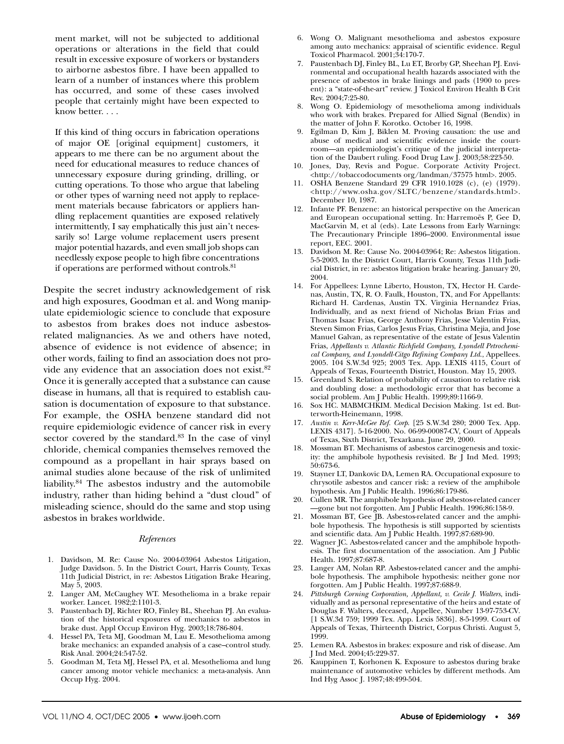ment market, will not be subjected to additional operations or alterations in the field that could result in excessive exposure of workers or bystanders to airborne asbestos fibre. I have been appalled to learn of a number of instances where this problem has occurred, and some of these cases involved people that certainly might have been expected to know better. . . .

If this kind of thing occurs in fabrication operations of major OE [original equipment] customers, it appears to me there can be no argument about the need for educational measures to reduce chances of unnecessary exposure during grinding, drilling, or cutting operations. To those who argue that labeling or other types of warning need not apply to replacement materials because fabricators or appliers handling replacement quantities are exposed relatively intermittently, I say emphatically this just ain't necessarily so! Large volume replacement users present major potential hazards, and even small job shops can needlessly expose people to high fibre concentrations if operations are performed without controls.81

Despite the secret industry acknowledgement of risk and high exposures, Goodman et al. and Wong manipulate epidemiologic science to conclude that exposure to asbestos from brakes does not induce asbestosrelated malignancies. As we and others have noted, absence of evidence is not evidence of absence; in other words, failing to find an association does not provide any evidence that an association does not exist.<sup>82</sup> Once it is generally accepted that a substance can cause disease in humans, all that is required to establish causation is documentation of exposure to that substance. For example, the OSHA benzene standard did not require epidemiologic evidence of cancer risk in every sector covered by the standard.<sup>83</sup> In the case of vinyl chloride, chemical companies themselves removed the compound as a propellant in hair sprays based on animal studies alone because of the risk of unlimited liability.84 The asbestos industry and the automobile industry, rather than hiding behind a "dust cloud" of misleading science, should do the same and stop using asbestos in brakes worldwide.

#### *References*

- 1. Davidson, M. Re: Cause No. 2004-03964 Asbestos Litigation, Judge Davidson. 5. In the District Court, Harris County, Texas 11th Judicial District, in re: Asbestos Litigation Brake Hearing, May 5, 2003.
- 2. Langer AM, McCaughey WT. Mesothelioma in a brake repair worker. Lancet. 1982;2:1101-3.
- 3. Paustenbach DJ, Richter RO, Finley BL, Sheehan PJ. An evaluation of the historical exposures of mechanics to asbestos in brake dust. Appl Occup Environ Hyg. 2003;18:786-804.
- 4. Hessel PA, Teta MJ, Goodman M, Lau E. Mesothelioma among brake mechanics: an expanded analysis of a case–control study. Risk Anal. 2004;24:547-52.
- 5. Goodman M, Teta MJ, Hessel PA, et al. Mesothelioma and lung cancer among motor vehicle mechanics: a meta-analysis. Ann Occup Hyg. 2004.
- 6. Wong O. Malignant mesothelioma and asbestos exposure among auto mechanics: appraisal of scientific evidence. Regul Toxicol Pharmacol. 2001;34:170-7.
- 7. Paustenbach DJ, Finley BL, Lu ET, Brorby GP, Sheehan PJ. Environmental and occupational health hazards associated with the presence of asbestos in brake linings and pads (1900 to present): a "state-of-the-art" review. J Toxicol Environ Health B Crit Rev. 2004;7:25-80.
- 8. Wong O. Epidemiology of mesothelioma among individuals who work with brakes. Prepared for Allied Signal (Bendix) in the matter of John F. Korotko. October 16, 1998.
- 9. Egilman D, Kim J, Biklen M. Proving causation: the use and abuse of medical and scientific evidence inside the courtroom—an epidemiologist's critique of the judicial interpretation of the Daubert ruling. Food Drug Law J. 2003;58:223-50.
- 10. Jones, Day, Revis and Pogue. Corporate Activity Project. <http://tobaccodocuments org/landman/37575 html>. 2005.
- 11. OSHA Benzene Standard 29 CFR 1910.1028 (c), (e) (1979). <http://www.osha.gov/SLTC/benzene/standards.html>. December 10, 1987.
- 12. Infante PF. Benzene: an historical perspective on the American and European occupational setting. In: Harremoës P, Gee D, MacGarvin M, et al (eds). Late Lessons from Early Warnings: The Precautionary Principle 1896–2000. Environmental issue report, EEC. 2001.
- 13. Davidson M. Re: Cause No. 2004-03964; Re: Asbestos litigation. 5-5-2003. In the District Court, Harris County, Texas 11th Judicial District, in re: asbestos litigation brake hearing. January 20, 2004.
- 14. For Appellees: Lynne Liberto, Houston, TX, Hector H. Cardenas, Austin, TX, R. O. Faulk, Houston, TX, and For Appellants: Richard H. Cardenas, Austin TX. Virginia Hernandez Frias, Individually, and as next friend of Nicholas Brian Frias and Thomas Isaac Frias, George Anthony Frias, Jesse Valentin Frias, Steven Simon Frias, Carlos Jesus Frias, Christina Mejia, and Jose Manuel Galvan, as representative of the estate of Jesus Valentin Frias, *Appellants v. Atlantic Richfield Company, Lyondell Petrochemical Company, and Lyondell-Citgo Refining Company Ltd*., Appellees. 2005. 104 S.W.3d 925; 2003 Tex. App. LEXIS 4115, Court of Appeals of Texas, Fourteenth District, Houston. May 15, 2003.
- 15. Greenland S. Relation of probability of causation to relative risk and doubling dose: a methodologic error that has become a social problem. Am J Public Health. 1999;89:1166-9.
- 16. Sox HC. MABMCHKIM. Medical Decision Making. 1st ed. Butterworth-Heinemann, 1998.
- 17. *Austin v. Kerr-McGee Ref. Corp*. [25 S.W.3d 280; 2000 Tex. App. LEXIS 4317]. 5-16-2000. No. 06-99-00087-CV, Court of Appeals of Texas, Sixth District, Texarkana. June 29, 2000.
- 18. Mossman BT. Mechanisms of asbestos carcinogenesis and toxicity: the amphibole hypothesis revisited. Br J Ind Med. 1993; 50:673-6.
- 19. Stayner LT, Dankovic DA, Lemen RA. Occupational exposure to chrysotile asbestos and cancer risk: a review of the amphibole hypothesis. Am J Public Health. 1996;86:179-86.
- 20. Cullen MR. The amphibole hypothesis of asbestos-related cancer —gone but not forgotten. Am J Public Health. 1996;86:158-9.
- 21. Mossman BT, Gee JB. Asbestos-related cancer and the amphibole hypothesis. The hypothesis is still supported by scientists and scientific data. Am J Public Health. 1997;87:689-90.
- 22. Wagner JC. Asbestos-related cancer and the amphibole hypothesis. The first documentation of the association. Am J Public Health. 1997;87:687-8.
- 23. Langer AM, Nolan RP. Asbestos-related cancer and the amphibole hypothesis. The amphibole hypothesis: neither gone nor forgotten. Am J Public Health. 1997;87:688-9.
- 24. *Pittsburgh Corning Corporation, Appellant, v. Cecile J. Walters*, individually and as personal representative of the heirs and estate of Douglas F. Walters, deceased, Appellee, Number 13-97-753-CV. [1 S.W.3d 759; 1999 Tex. App. Lexis 5836]. 8-5-1999. Court of Appeals of Texas, Thirteenth District, Corpus Christi. August 5, 1999.
- 25. Lemen RA. Asbestos in brakes: exposure and risk of disease. Am J Ind Med. 2004;45:229-37.
- 26. Kauppinen T, Korhonen K. Exposure to asbestos during brake maintenance of automotive vehicles by different methods. Am Ind Hyg Assoc J. 1987;48:499-504.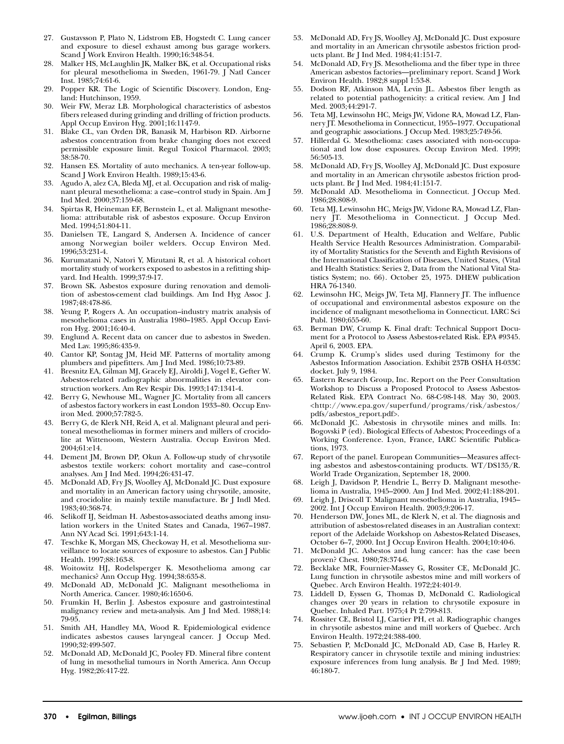- 27. Gustavsson P, Plato N, Lidstrom EB, Hogstedt C. Lung cancer and exposure to diesel exhaust among bus garage workers. Scand J Work Environ Health. 1990;16:348-54.
- 28. Malker HS, McLaughlin JK, Malker BK, et al. Occupational risks for pleural mesothelioma in Sweden, 1961-79. J Natl Cancer Inst. 1985;74:61-6.
- 29. Popper KR. The Logic of Scientific Discovery. London, England: Hutchinson, 1959.
- 30. Weir FW, Meraz LB. Morphological characteristics of asbestos fibers released during grinding and drilling of friction products. Appl Occup Environ Hyg. 2001;16:1147-9.
- 31. Blake CL, van Orden DR, Banasik M, Harbison RD. Airborne asbestos concentration from brake changing does not exceed permissible exposure limit. Regul Toxicol Pharmacol. 2003; 38:58-70.
- 32. Hansen ES. Mortality of auto mechanics. A ten-year follow-up. Scand J Work Environ Health. 1989;15:43-6.
- Agudo A, alez CA, Bleda MJ, et al. Occupation and risk of malignant pleural mesothelioma: a case–control study in Spain. Am J Ind Med. 2000;37:159-68.
- 34. Spirtas R, Heineman EF, Bernstein L, et al. Malignant mesothelioma: attributable risk of asbestos exposure. Occup Environ Med. 1994;51:804-11.
- 35. Danielsen TE, Langard S, Andersen A. Incidence of cancer among Norwegian boiler welders. Occup Environ Med. 1996;53:231-4.
- 36. Kurumatani N, Natori Y, Mizutani R, et al. A historical cohort mortality study of workers exposed to asbestos in a refitting shipyard. Ind Health. 1999;37:9-17.
- 37. Brown SK. Asbestos exposure during renovation and demolition of asbestos-cement clad buildings. Am Ind Hyg Assoc J. 1987;48:478-86.
- 38. Yeung P, Rogers A. An occupation–industry matrix analysis of mesothelioma cases in Australia 1980–1985. Appl Occup Environ Hyg. 2001;16:40-4.
- 39. Englund A. Recent data on cancer due to asbestos in Sweden. Med Lav. 1995;86:435-9.
- 40. Cantor KP, Sontag JM, Heid MF. Patterns of mortality among plumbers and pipefitters. Am J Ind Med. 1986;10:73-89.
- 41. Bresnitz EA, Gilman MJ, Gracely EJ, Airoldi J, Vogel E, Gefter W. Asbestos-related radiographic abnormalities in elevator construction workers. Am Rev Respir Dis. 1993;147:1341-4.
- 42. Berry G, Newhouse ML, Wagner JC. Mortality from all cancers of asbestos factory workers in east London 1933–80. Occup Environ Med. 2000;57:782-5.
- 43. Berry G, de Klerk NH, Reid A, et al. Malignant pleural and peritoneal mesotheliomas in former miners and millers of crocidolite at Wittenoom, Western Australia. Occup Environ Med. 2004;61:e14.
- 44. Dement JM, Brown DP, Okun A. Follow-up study of chrysotile asbestos textile workers: cohort mortality and case–control analyses. Am J Ind Med. 1994;26:431-47.
- 45. McDonald AD, Fry JS, Woolley AJ, McDonald JC. Dust exposure and mortality in an American factory using chrysotile, amosite, and crocidolite in mainly textile manufacture. Br J Indl Med. 1983;40:368-74.
- 46. Selikoff IJ, Seidman H. Asbestos-associated deaths among insulation workers in the United States and Canada, 1967–1987. Ann NY Acad Sci. 1991;643:1-14.
- 47. Teschke K, Morgan MS, Checkoway H, et al. Mesothelioma surveillance to locate sources of exposure to asbestos. Can J Public Health. 1997;88:163-8.
- 48. Woitowitz HJ, Rodelsperger K. Mesothelioma among car mechanics? Ann Occup Hyg. 1994;38:635-8.
- 49. McDonald AD, McDonald JC. Malignant mesothelioma in North America. Cancer. 1980;46:1650-6.
- 50. Frumkin H, Berlin J. Asbestos exposure and gastrointestinal malignancy review and meta-analysis. Am J Ind Med. 1988;14: 79-95.
- 51. Smith AH, Handley MA, Wood R. Epidemiological evidence indicates asbestos causes laryngeal cancer. J Occup Med. 1990;32:499-507.
- 52. McDonald AD, McDonald JC, Pooley FD. Mineral fibre content of lung in mesothelial tumours in North America. Ann Occup Hyg. 1982;26:417-22.
- 53. McDonald AD, Fry JS, Woolley AJ, McDonald JC. Dust exposure and mortality in an American chrysotile asbestos friction products plant. Br J Ind Med. 1984;41:151-7.
- 54. McDonald AD, Fry JS. Mesothelioma and the fiber type in three American asbestos factories—preliminary report. Scand J Work Environ Health. 1982;8 suppl 1:53-8.
- 55. Dodson RF, Atkinson MA, Levin JL. Asbestos fiber length as related to potential pathogenicity: a critical review. Am J Ind Med. 2003;44:291-7.
- 56. Teta MJ, Lewinsohn HC, Meigs JW, Vidone RA, Mowad LZ, Flannery JT. Mesothelioma in Connecticut, 1955–1977. Occupational and geographic associations. J Occup Med. 1983;25:749-56.
- 57. Hillerdal G. Mesothelioma: cases associated with non-occupational and low dose exposures. Occup Environ Med. 1999; 56:505-13.
- 58. McDonald AD, Fry JS, Woolley AJ, McDonald JC. Dust exposure and mortality in an American chrysotile asbestos friction products plant. Br J Ind Med. 1984;41:151-7.
- 59. McDonald AD. Mesothelioma in Connecticut. J Occup Med. 1986;28:808-9.
- 60. Teta MJ, Lewinsohn HC, Meigs JW, Vidone RA, Mowad LZ, Flannery JT. Mesothelioma in Connecticut. J Occup Med. 1986;28:808-9.
- 61. U.S. Department of Health, Education and Welfare, Public Health Service Health Resources Administration. Comparability of Mortality Statistics for the Seventh and Eighth Revisions of the International Classification of Diseases, United States, (Vital and Health Statistics: Series 2, Data from the National Vital Statistics System; no. 66). October 25, 1975. DHEW publication HRA 76-1340.
- 62. Lewinsohn HC, Meigs JW, Teta MJ, Flannery JT. The influence of occupational and environmental asbestos exposure on the incidence of malignant mesothelioma in Connecticut. IARC Sci Publ. 1980;655-60.
- 63. Berman DW, Crump K. Final draft: Technical Support Document for a Protocol to Assess Asbestos-related Risk. EPA #9345. April 6, 2003. EPA.
- 64. Crump K. Crump's slides used during Testimony for the Asbestos Information Association. Exhibit 237B OSHA H-033C docket. July 9, 1984.
- 65. Eastern Research Group, Inc. Report on the Peer Consultation Workshop to Discuss a Proposed Protocol to Assess Asbestos-Related Risk. EPA Contract No. 68-C-98-148. May 30, 2003. <http://www.epa.gov/superfund/programs/risk/asbestos/ pdfs/asbestos\_report.pdf>.
- 66. McDonald JC. Asbestosis in chrysotile mines and mills. In: Bogovski P (ed). Biological Effects of Asbestos; Proceedings of a Working Conference. Lyon, France, IARC Scientific Publications, 1973.
- 67. Report of the panel. European Communities—Measures affecting asbestos and asbestos-containing products. WT/DS135/R. World Trade Organization, September 18, 2000.
- 68. Leigh J, Davidson P, Hendrie L, Berry D. Malignant mesothelioma in Australia, 1945–2000. Am J Ind Med. 2002;41:188-201.
- 69. Leigh J, Driscoll T. Malignant mesothelioma in Australia, 1945– 2002. Int J Occup Environ Health. 2003;9:206-17.
- 70. Henderson DW, Jones ML, de Klerk N, et al. The diagnosis and attribution of asbestos-related diseases in an Australian context: report of the Adelaide Workshop on Asbestos-Related Diseases, October 6–7, 2000. Int J Occup Environ Health. 2004;10:40-6.
- 71. McDonald JC. Asbestos and lung cancer: has the case been proven? Chest. 1980;78:374-6.
- 72. Becklake MR, Fournier-Massey G, Rossiter CE, McDonald JC. Lung function in chrysotile asbestos mine and mill workers of Quebec. Arch Environ Health. 1972;24:401-9.
- 73. Liddell D, Eyssen G, Thomas D, McDonald C. Radiological changes over 20 years in relation to chrysotile exposure in Quebec. Inhaled Part. 1975;4 Pt 2:799-813.
- 74. Rossiter CE, Bristol LJ, Cartier PH, et al. Radiographic changes in chrysotile asbestos mine and mill workers of Quebec. Arch Environ Health. 1972;24:388-400.
- 75. Sebastien P, McDonald JC, McDonald AD, Case B, Harley R. Respiratory cancer in chrysotile textile and mining industries: exposure inferences from lung analysis. Br J Ind Med. 1989; 46:180-7.